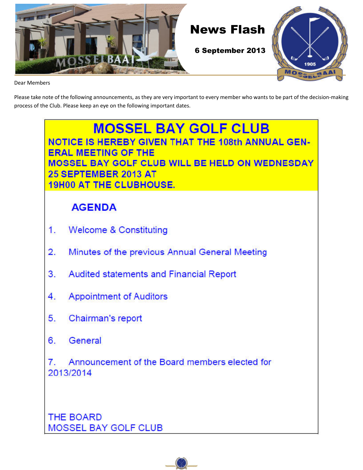

Dear Members

Please take note of the following announcements, as they are very important to every member who wants to be part of the decision-making process of the Club. Please keep an eye on the following important dates.

## **MOSSEL BAY GOLF CLUB NOTICE IS HEREBY GIVEN THAT THE 108th ANNUAL GEN-ERAL MEETING OF THE** MOSSEL BAY GOLF CLUB WILL BE HELD ON WEDNESDAY 25 SEPTEMBER 2013 AT **19H00 AT THE CLUBHOUSE. AGENDA Welcome & Constituting** 1. Minutes of the previous Annual General Meeting  $\overline{2}$ . **Audited statements and Financial Report** 3. **Appointment of Auditors** 4. Chairman's report 5. General 6. Announcement of the Board members elected for 7. 2013/2014 THE BOARD **MOSSEL BAY GOLF CLUB**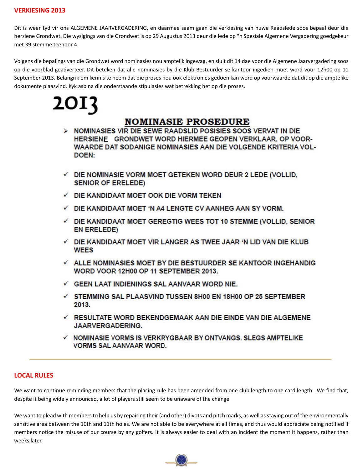#### **VERKIESING 2013**

Dit is weer tyd vir ons ALGEMENE JAARVERGADERING, en daarmee saam gaan die verkiesing van nuwe Raadslede soos bepaal deur die hersiene Grondwet. Die wysigings van die Grondwet is op 29 Augustus 2013 deur die lede op "n Spesiale Algemene Vergadering goedgekeur met 39 stemme teenoor 4.

Volgens die bepalings van die Grondwet word nominasies nou amptelik ingewag, en sluit dit 14 dae voor die Algemene Jaarvergadering soos op die voorblad geadverteer. Dit beteken dat alle nominasies by die Klub Bestuurder se kantoor ingedien moet word voor 12h00 op 11 September 2013. Belangrik om kennis te neem dat die proses nou ook elektronies gedoen kan word op voorwaarde dat dit op die amptelike dokumente plaasvind. Kyk asb na die onderstaande stipulasies wat betrekking het op die proses.

2013

### **NOMINASIE PROSEDURE**

- > NOMINASIES VIR DIE SEWE RAADSLID POSISIES SOOS VERVAT IN DIE HERSIENE GRONDWET WORD HIERMEE GEOPEN VERKLAAR, OP VOOR-<br>WAARDE DAT SODANIGE NOMINASIES AAN DIE VOLGENDE KRITERIA VOL-DOEN:
- $\checkmark$  DIE NOMINASIE VORM MOET GETEKEN WORD DEUR 2 LEDE (VOLLID, **SENIOR OF ERELEDE)**
- DIE KANDIDAAT MOET OOK DIE VORM TEKEN
- $\checkmark$  DIE KANDIDAAT MOET 'N A4 LENGTE CV AANHEG AAN SY VORM.
- $\checkmark$  DIE KANDIDAAT MOET GEREGTIG WEES TOT 10 STEMME (VOLLID, SENIOR **EN ERELEDE)**
- $\checkmark$  DIE KANDIDAAT MOET VIR LANGER AS TWEE JAAR 'N LID VAN DIE KLUB **WEES**
- $\checkmark$  ALLE NOMINASIES MOET BY DIE BESTUURDER SE KANTOOR INGEHANDIG WORD VOOR 12H00 OP 11 SEPTEMBER 2013.
- GEEN LAAT INDIENINGS SAL AANVAAR WORD NIE.
- $\checkmark$  STEMMING SAL PLAASVIND TUSSEN 8H00 EN 18H00 OP 25 SEPTEMBER 2013.
- $\checkmark$  RESULTATE WORD BEKENDGEMAAK AAN DIE EINDE VAN DIE ALGEMENE **JAARVERGADERING.**
- ✓ NOMINASIE VORMS IS VERKRYGBAAR BY ONTVANGS. SLEGS AMPTELIKE **VORMS SAL AANVAAR WORD.**

#### **LOCAL RULES**

We want to continue reminding members that the placing rule has been amended from one club length to one card length. We find that, despite it being widely announced, a lot of players still seem to be unaware of the change.

We want to plead with members to help us by repairing their (and other) divots and pitch marks, as well as staying out of the environmentally sensitive area between the 10th and 11th holes. We are not able to be everywhere at all times, and thus would appreciate being notified if members notice the misuse of our course by any golfers. It is always easier to deal with an incident the moment it happens, rather than weeks later.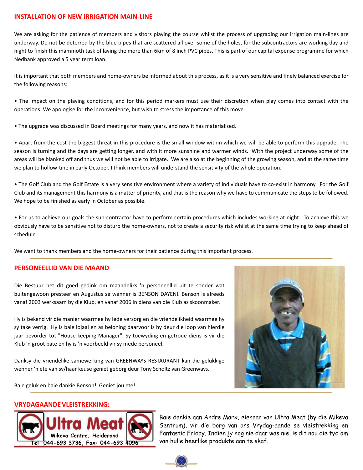#### **INSTALLATION OF NEW IRRIGATION MAIN-LINE**

We are asking for the patience of members and visitors playing the course whilst the process of upgrading our irrigation main-lines are underway. Do not be deterred by the blue pipes that are scattered all over some of the holes, for the subcontractors are working day and night to finish this mammoth task of laying the more than 6km of 8 inch PVC pipes. This is part of our capital expense programme for which Nedbank approved a 5 year term loan.

It is important that both members and home-owners be informed about this process, as it is a very sensitive and finely balanced exercise for the following reasons:

• The impact on the playing conditions, and for this period markers must use their discretion when play comes into contact with the operations. We apologise for the inconvenience, but wish to stress the importance of this move.

• The upgrade was discussed in Board meetings for many years, and now it has materialised.

• Apart from the cost the biggest threat in this procedure is the small window within which we will be able to perform this upgrade. The season is turning and the days are getting longer, and with it more sunshine and warmer winds. With the project underway some of the areas will be blanked off and thus we will not be able to irrigate. We are also at the beginning of the growing season, and at the same time we plan to hollow-tine in early October. I think members will understand the sensitivity of the whole operation.

• The Golf Club and the Golf Estate is a very sensitive environment where a variety of individuals have to co-exist in harmony. For the Golf Club and its management this harmony is a matter of priority, and that is the reason why we have to communicate the steps to be followed. We hope to be finished as early in October as possible.

• For us to achieve our goals the sub-contractor have to perform certain procedures which includes working at night. To achieve this we obviously have to be sensitive not to disturb the home-owners, not to create a security risk whilst at the same time trying to keep ahead of schedule.

We want to thank members and the home-owners for their patience during this important process.

#### **PERSONEELLID VAN DIE MAAND**

Die Bestuur het dit goed gedink om maandeliks 'n personeellid uit te sonder wat buitengewoon presteer en Augustus se wenner is BENSON DAYENI. Benson is alreeds vanaf 2003 werksaam by die Klub, en vanaf 2006 in diens van die Klub as skoonmaker.

Hy is bekend vir die manier waarmee hy lede versorg en die vriendelikheid waarmee hy sy take verrig. Hy is baie lojaal en as beloning daarvoor is hy deur die loop van hierdie jaar bevorder tot "House-keeping Manager". Sy toewyding en getroue diens is vir die Klub 'n groot bate en hy is 'n voorbeeld vir sy mede personeel.

Danksy die vriendelike samewerking van GREENWAYS RESTAURANT kan die gelukkige wenner 'n ete van sy/haar keuse geniet geborg deur Tony Scholtz van Greenways.



Baie geluk en baie dankie Benson! Geniet jou ete!

#### **VRYDAGAANDE VLEISTREKKING:**



Baie dankie aan Andre Marx, eienaar van Ultra Meat (by die Mikeva Sentrum), vir die borg van ons Vrydag-aande se vleistrekking en Fantastic Friday. Indien jy nog nie daar was nie, is dit nou die tyd om van hulle heerlike produkte aan te skaf.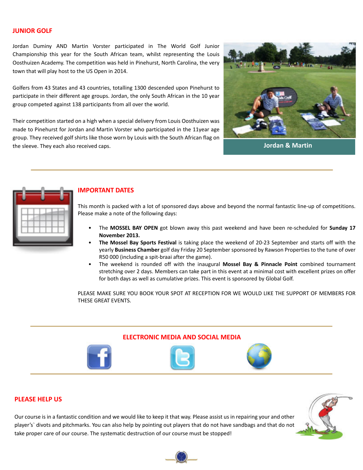#### **JUNIOR GOLF**

Jordan Duminy AND Martin Vorster participated in The World Golf Junior Championship this year for the South African team, whilst representing the Louis Oosthuizen Academy. The competition was held in Pinehurst, North Carolina, the very town that will play host to the US Open in 2014.

Golfers from 43 States and 43 countries, totalling 1300 descended upon Pinehurst to participate in their different age groups. Jordan, the only South African in the 10 year group competed against 138 participants from all over the world.

Their competition started on a high when a special delivery from Louis Oosthuizen was made to Pinehurst for Jordan and Martin Vorster who participated in the 11year age group. They received golf shirts like those worn by Louis with the South African flag on the sleeve. They each also received caps. **Jordan & Martin**





#### **IMPORTANT DATES**

This month is packed with a lot of sponsored days above and beyond the normal fantastic line-up of competitions. Please make a note of the following days:

- The **MOSSEL BAY OPEN** got blown away this past weekend and have been re-scheduled for **Sunday 17 November 2013.**
- **The Mossel Bay Sports Festival** is taking place the weekend of 20-23 September and starts off with the yearly **Business Chamber** golf day Friday 20 September sponsored by Rawson Properties to the tune of over R50 000 (including a spit-braai after the game).
- The weekend is rounded off with the inaugural **Mossel Bay & Pinnacle Point** combined tournament stretching over 2 days. Members can take part in this event at a minimal cost with excellent prizes on offer for both days as well as cumulative prizes. This event is sponsored by Global Golf.

PLEASE MAKE SURE YOU BOOK YOUR SPOT AT RECEPTION FOR WE WOULD LIKE THE SUPPORT OF MEMBERS FOR THESE GREAT EVENTS.



#### **PLEASE HELP US**

Our course is in a fantastic condition and we would like to keep it that way. Please assist us in repairing your and other player's` divots and pitchmarks. You can also help by pointing out players that do not have sandbags and that do not take proper care of our course. The systematic destruction of our course must be stopped!

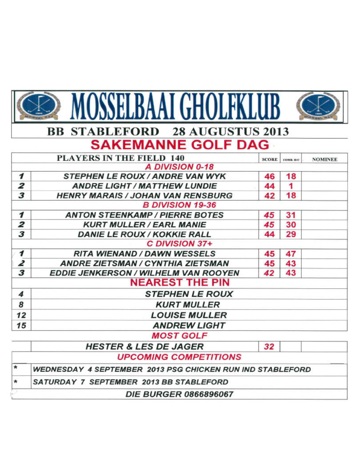| MOSSELBAAI GHOLFKLUB    |                                                                  |              |           |                |  |  |  |  |  |  |
|-------------------------|------------------------------------------------------------------|--------------|-----------|----------------|--|--|--|--|--|--|
|                         | <b>STABLEFORD 28 AUGUSTUS 2013</b><br>BB                         |              |           |                |  |  |  |  |  |  |
|                         | <b>SAKEMANNE GOLF DAG</b>                                        |              |           |                |  |  |  |  |  |  |
|                         | <b>PLAYERS IN THE FIELD 140</b>                                  | <b>SCORE</b> | COMB. H/C | <b>NOMINEE</b> |  |  |  |  |  |  |
|                         | <b>A DIVISION 0-18</b>                                           |              |           |                |  |  |  |  |  |  |
| 1                       | <b>STEPHEN LE ROUX / ANDRE VAN WYK</b>                           | 46           | 18        |                |  |  |  |  |  |  |
| 2                       | <b>ANDRE LIGHT / MATTHEW LUNDIE</b>                              | 44           | 1         |                |  |  |  |  |  |  |
| 3                       | <b>HENRY MARAIS / JOHAN VAN RENSBURG</b>                         | 42           | 18        |                |  |  |  |  |  |  |
|                         | <b>B DIVISION 19-36</b>                                          |              |           |                |  |  |  |  |  |  |
| $\boldsymbol{\tau}$     | <b>ANTON STEENKAMP / PIERRE BOTES</b>                            | 45           | 31        |                |  |  |  |  |  |  |
| 2                       | <b>KURT MULLER / EARL MANIE</b>                                  | 45           | 30        |                |  |  |  |  |  |  |
| $\overline{\mathbf{3}}$ | <b>DANIE LE ROUX / KOKKIE RALL</b>                               | 44           | 29        |                |  |  |  |  |  |  |
| C DIVISION 37+          |                                                                  |              |           |                |  |  |  |  |  |  |
| 1                       | <b>RITA WIENAND / DAWN WESSELS</b>                               | 45           | 47        |                |  |  |  |  |  |  |
| 2                       | <b>ANDRE ZIETSMAN / CYNTHIA ZIETSMAN</b>                         | 45           | 43        |                |  |  |  |  |  |  |
| $\overline{\mathbf{3}}$ | <b>EDDIE JENKERSON / WILHELM VAN ROOYEN</b>                      | 42           | 43        |                |  |  |  |  |  |  |
|                         | <b>NEAREST THE PIN</b>                                           |              |           |                |  |  |  |  |  |  |
| 4                       | <b>STEPHEN LE ROUX</b>                                           |              |           |                |  |  |  |  |  |  |
| 8                       | <b>KURT MULLER</b>                                               |              |           |                |  |  |  |  |  |  |
| 12                      | <b>LOUISE MULLER</b>                                             |              |           |                |  |  |  |  |  |  |
| 15                      | <b>ANDREW LIGHT</b>                                              |              |           |                |  |  |  |  |  |  |
|                         | <b>MOST GOLF</b>                                                 |              |           |                |  |  |  |  |  |  |
|                         | <b>HESTER &amp; LES DE JAGER</b>                                 | 32           |           |                |  |  |  |  |  |  |
|                         | <b>UPCOMING COMPETITIONS</b>                                     |              |           |                |  |  |  |  |  |  |
| *                       | <b>WEDNESDAY 4 SEPTEMBER 2013 PSG CHICKEN RUN IND STABLEFORD</b> |              |           |                |  |  |  |  |  |  |
| *                       | SATURDAY 7 SEPTEMBER 2013 BB STABLEFORD                          |              |           |                |  |  |  |  |  |  |
|                         | <b>DIE BURGER 0866896067</b>                                     |              |           |                |  |  |  |  |  |  |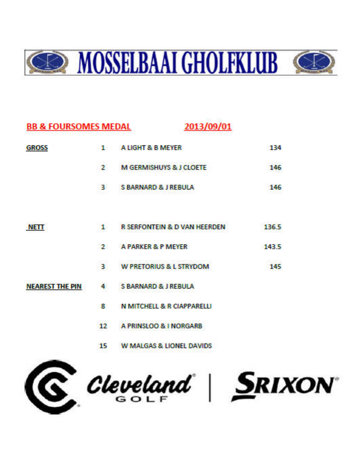

| <b>BB &amp; FOURSOMES MEDAL</b> |                                   | 2013/09/01                              |       |
|---------------------------------|-----------------------------------|-----------------------------------------|-------|
| <b>GROSS</b>                    | ot a                              | A LIGHT & B MEYER                       | 134   |
|                                 | <b>CONTRACTOR</b><br>$\mathbf{r}$ | <b>M GERMISHUYS &amp; J CLOETE</b>      | 146   |
|                                 | 31                                | <b>S BARNARD &amp; J REBULA</b>         | 146   |
| NETT                            | ı.                                | <b>R SERFONTEIN &amp; D VAN HEERDEN</b> | 136.5 |
|                                 | $\mathcal{P}$                     | A PARKER & P MEYER                      | 143.5 |
|                                 | 34                                | <b>W PRETORIUS &amp; L STRYDOM</b>      | 145   |
| <b>NEAREST THE PIN</b>          | 4                                 | <b>S BARNARD &amp; J REBULA</b>         |       |
|                                 | 8.                                | <b>N MITCHELL &amp; R CIAPPARELLI</b>   |       |
|                                 | 1000<br>12                        | A PRINSLOO & I NORGARB                  |       |
|                                 | 15                                | W MALGAS & HONEL DAVIDS                 |       |

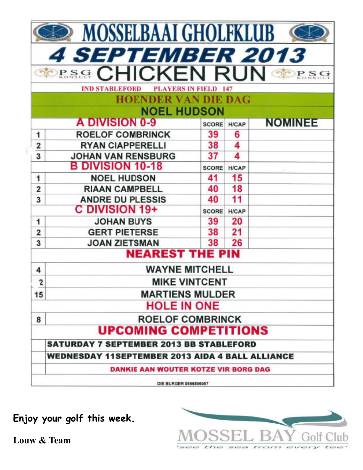|                                                        | <b>MOSSELBAAI GHOLFKLUB</b>                      |              |              |                |  |  |  |  |
|--------------------------------------------------------|--------------------------------------------------|--------------|--------------|----------------|--|--|--|--|
|                                                        | <i><b>4 SEPTEMBER 2013</b></i>                   |              |              |                |  |  |  |  |
|                                                        | <b>SPRAGE CHICKEN RUN OF</b>                     |              |              |                |  |  |  |  |
|                                                        | <b>IND STABLEFORD</b><br><b>PLAYERS IN FIELD</b> |              |              |                |  |  |  |  |
|                                                        | <b>HOENDER VAN DIE DAG</b>                       |              |              |                |  |  |  |  |
|                                                        | <b>NOEL HUDSON</b>                               |              |              |                |  |  |  |  |
|                                                        | A DIVISION 0-9                                   | <b>SCORE</b> | <b>H/CAP</b> | <b>NOMINEE</b> |  |  |  |  |
| 1                                                      | <b>ROELOF COMBRINCK</b>                          | 39           | 6            |                |  |  |  |  |
| $\overline{\mathbf{2}}$                                | <b>RYAN CIAPPERELLI</b>                          | 38           | 4            |                |  |  |  |  |
| 3                                                      | <b>JOHAN VAN RENSBURG</b>                        | 37           | 4            |                |  |  |  |  |
|                                                        | <b>B DIVISION 10-18</b>                          | SCORE        | <b>H/CAP</b> |                |  |  |  |  |
| 1                                                      | <b>NOEL HUDSON</b>                               | 41           | 15           |                |  |  |  |  |
| 2                                                      | <b>RIAAN CAMPBELL</b>                            | 40           | 18           |                |  |  |  |  |
| 3                                                      | <b>ANDRE DU PLESSIS</b>                          | 40           | 11           |                |  |  |  |  |
|                                                        | <b>C DIVISION 19+</b>                            | <b>SCORE</b> | <b>H/CAP</b> |                |  |  |  |  |
| 1                                                      | <b>JOHAN BUYS</b>                                | 39           | 20           |                |  |  |  |  |
| $\overline{\mathbf{2}}$                                | <b>GERT PIETERSE</b>                             | 38           | 21           |                |  |  |  |  |
| 3                                                      | <b>JOAN ZIETSMAN</b>                             | 38           | 26           |                |  |  |  |  |
|                                                        | <b>NEAREST THE PIN</b>                           |              |              |                |  |  |  |  |
| 4                                                      | <b>WAYNE MITCHELL</b>                            |              |              |                |  |  |  |  |
| $\overline{c}$                                         | <b>MIKE VINTCENT</b>                             |              |              |                |  |  |  |  |
| 15                                                     | <b>MARTIENS MULDER</b>                           |              |              |                |  |  |  |  |
|                                                        | <b>HOLE IN ONE</b>                               |              |              |                |  |  |  |  |
| 8                                                      | <b>ROELOF COMBRINCK</b>                          |              |              |                |  |  |  |  |
|                                                        | <b>UPCOMING COMPETITIONS</b>                     |              |              |                |  |  |  |  |
|                                                        | <b>SATURDAY 7 SEPTEMBER 2013 BB STABLEFORD</b>   |              |              |                |  |  |  |  |
| <b>WEDNESDAY 11SEPTEMBER 2013 AIDA 4 BALL ALLIANCE</b> |                                                  |              |              |                |  |  |  |  |
| <b>DANKIE AAN WOUTER KOTZE VIR BORG DAG</b>            |                                                  |              |              |                |  |  |  |  |
|                                                        | DIE BURGER 0866896067                            |              |              |                |  |  |  |  |

**Enjoy your golf this week.**

**Louw & Team**